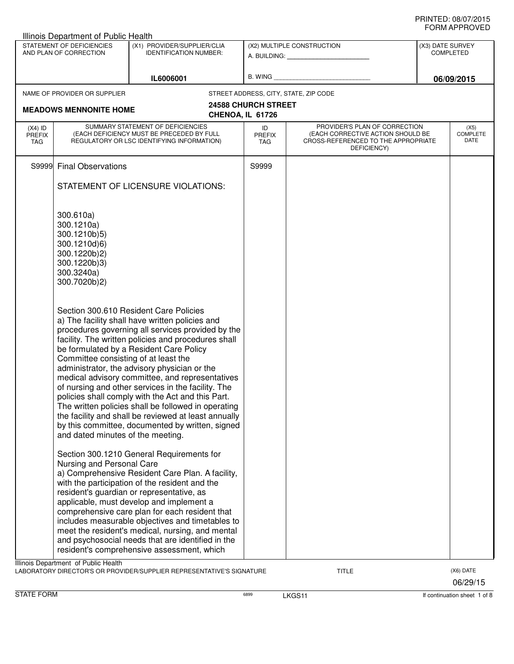|                                          | Illinois Department of Public Health                                                                                                                                                                                            |                                                                                                                                                                                                                                                                                                                                                                                                                                                                                                                                                                                                                                                                                                                                                                                                                                                                                                                                                                                                                                                                                                                                            |                            |                                                                                                                                              |                  |                                 |
|------------------------------------------|---------------------------------------------------------------------------------------------------------------------------------------------------------------------------------------------------------------------------------|--------------------------------------------------------------------------------------------------------------------------------------------------------------------------------------------------------------------------------------------------------------------------------------------------------------------------------------------------------------------------------------------------------------------------------------------------------------------------------------------------------------------------------------------------------------------------------------------------------------------------------------------------------------------------------------------------------------------------------------------------------------------------------------------------------------------------------------------------------------------------------------------------------------------------------------------------------------------------------------------------------------------------------------------------------------------------------------------------------------------------------------------|----------------------------|----------------------------------------------------------------------------------------------------------------------------------------------|------------------|---------------------------------|
|                                          | STATEMENT OF DEFICIENCIES<br>AND PLAN OF CORRECTION                                                                                                                                                                             | (X1) PROVIDER/SUPPLIER/CLIA<br><b>IDENTIFICATION NUMBER:</b>                                                                                                                                                                                                                                                                                                                                                                                                                                                                                                                                                                                                                                                                                                                                                                                                                                                                                                                                                                                                                                                                               |                            | (X2) MULTIPLE CONSTRUCTION<br>A. BUILDING: A SALE AND THE SALE AND THE SALE AND THE SALE AND THE SALE AND THE SALE AND THE SALE AND THE SALE | (X3) DATE SURVEY | <b>COMPLETED</b>                |
|                                          |                                                                                                                                                                                                                                 | IL6006001                                                                                                                                                                                                                                                                                                                                                                                                                                                                                                                                                                                                                                                                                                                                                                                                                                                                                                                                                                                                                                                                                                                                  | B. WING                    |                                                                                                                                              |                  | 06/09/2015                      |
|                                          | NAME OF PROVIDER OR SUPPLIER                                                                                                                                                                                                    |                                                                                                                                                                                                                                                                                                                                                                                                                                                                                                                                                                                                                                                                                                                                                                                                                                                                                                                                                                                                                                                                                                                                            |                            | STREET ADDRESS, CITY, STATE, ZIP CODE                                                                                                        |                  |                                 |
|                                          |                                                                                                                                                                                                                                 |                                                                                                                                                                                                                                                                                                                                                                                                                                                                                                                                                                                                                                                                                                                                                                                                                                                                                                                                                                                                                                                                                                                                            | <b>24588 CHURCH STREET</b> |                                                                                                                                              |                  |                                 |
|                                          | <b>MEADOWS MENNONITE HOME</b>                                                                                                                                                                                                   |                                                                                                                                                                                                                                                                                                                                                                                                                                                                                                                                                                                                                                                                                                                                                                                                                                                                                                                                                                                                                                                                                                                                            | CHENOA, IL 61726           |                                                                                                                                              |                  |                                 |
| $(X4)$ ID<br><b>PREFIX</b><br><b>TAG</b> |                                                                                                                                                                                                                                 | SUMMARY STATEMENT OF DEFICIENCIES<br>(EACH DEFICIENCY MUST BE PRECEDED BY FULL<br>REGULATORY OR LSC IDENTIFYING INFORMATION)                                                                                                                                                                                                                                                                                                                                                                                                                                                                                                                                                                                                                                                                                                                                                                                                                                                                                                                                                                                                               | ID<br>PREFIX<br><b>TAG</b> | PROVIDER'S PLAN OF CORRECTION<br>(EACH CORRECTIVE ACTION SHOULD BE<br>CROSS-REFERENCED TO THE APPROPRIATE<br>DEFICIENCY)                     |                  | (X5)<br><b>COMPLETE</b><br>DATE |
|                                          | S9999 Final Observations                                                                                                                                                                                                        |                                                                                                                                                                                                                                                                                                                                                                                                                                                                                                                                                                                                                                                                                                                                                                                                                                                                                                                                                                                                                                                                                                                                            | S9999                      |                                                                                                                                              |                  |                                 |
|                                          |                                                                                                                                                                                                                                 | STATEMENT OF LICENSURE VIOLATIONS:                                                                                                                                                                                                                                                                                                                                                                                                                                                                                                                                                                                                                                                                                                                                                                                                                                                                                                                                                                                                                                                                                                         |                            |                                                                                                                                              |                  |                                 |
|                                          | 300.610a)<br>300.1210a)<br>300.1210b)5)<br>300.1210d)6)<br>300.1220b)2)<br>300.1220b)3)<br>300.3240a)<br>300.7020b)2)<br>Committee consisting of at least the<br>and dated minutes of the meeting.<br>Nursing and Personal Care | Section 300.610 Resident Care Policies<br>a) The facility shall have written policies and<br>procedures governing all services provided by the<br>facility. The written policies and procedures shall<br>be formulated by a Resident Care Policy<br>administrator, the advisory physician or the<br>medical advisory committee, and representatives<br>of nursing and other services in the facility. The<br>policies shall comply with the Act and this Part.<br>The written policies shall be followed in operating<br>the facility and shall be reviewed at least annually<br>by this committee, documented by written, signed<br>Section 300.1210 General Requirements for<br>a) Comprehensive Resident Care Plan. A facility,<br>with the participation of the resident and the<br>resident's guardian or representative, as<br>applicable, must develop and implement a<br>comprehensive care plan for each resident that<br>includes measurable objectives and timetables to<br>meet the resident's medical, nursing, and mental<br>and psychosocial needs that are identified in the<br>resident's comprehensive assessment, which |                            |                                                                                                                                              |                  |                                 |
|                                          | Illinois Department of Public Health                                                                                                                                                                                            | LABORATORY DIRECTOR'S OR PROVIDER/SUPPLIER REPRESENTATIVE'S SIGNATURE                                                                                                                                                                                                                                                                                                                                                                                                                                                                                                                                                                                                                                                                                                                                                                                                                                                                                                                                                                                                                                                                      |                            | <b>TITLE</b>                                                                                                                                 |                  | (X6) DATE<br>06/29/15           |

STATE FORM **EXAMPLE FORM** 6899 **LKGS11 LKGS11 If continuation sheet 1 of 8**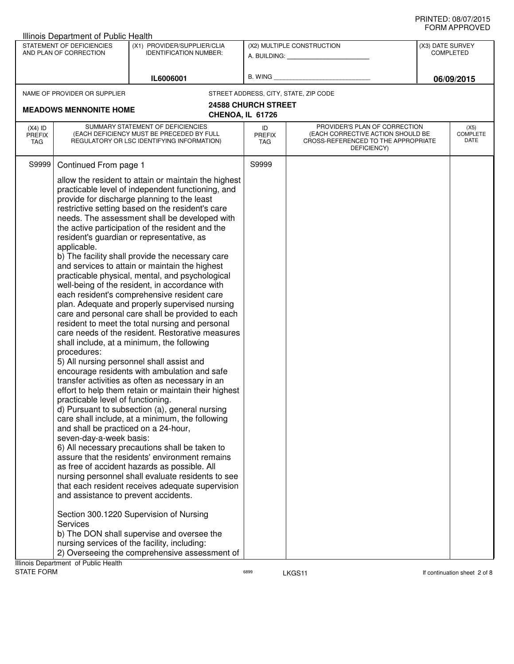|                   | <b>Illinois Department of Public Health</b> |                                                                                                       |                            |                                                                          |                  |                              |
|-------------------|---------------------------------------------|-------------------------------------------------------------------------------------------------------|----------------------------|--------------------------------------------------------------------------|------------------|------------------------------|
|                   | STATEMENT OF DEFICIENCIES                   | (X1) PROVIDER/SUPPLIER/CLIA                                                                           |                            | (X2) MULTIPLE CONSTRUCTION                                               | (X3) DATE SURVEY |                              |
|                   | AND PLAN OF CORRECTION                      | <b>IDENTIFICATION NUMBER:</b>                                                                         |                            | A. BUILDING: A. BUILDING:                                                |                  | <b>COMPLETED</b>             |
|                   |                                             |                                                                                                       |                            |                                                                          |                  |                              |
|                   |                                             | IL6006001                                                                                             | B. WING                    |                                                                          |                  | 06/09/2015                   |
|                   | NAME OF PROVIDER OR SUPPLIER                |                                                                                                       |                            | STREET ADDRESS, CITY, STATE, ZIP CODE                                    |                  |                              |
|                   |                                             |                                                                                                       | <b>24588 CHURCH STREET</b> |                                                                          |                  |                              |
|                   | <b>MEADOWS MENNONITE HOME</b>               |                                                                                                       | CHENOA, IL 61726           |                                                                          |                  |                              |
| $(X4)$ ID         |                                             | SUMMARY STATEMENT OF DEFICIENCIES                                                                     | ID                         | PROVIDER'S PLAN OF CORRECTION                                            |                  | (X5)                         |
| PREFIX<br>TAG     |                                             | (EACH DEFICIENCY MUST BE PRECEDED BY FULL<br>REGULATORY OR LSC IDENTIFYING INFORMATION)               | <b>PREFIX</b><br>TAG       | (EACH CORRECTIVE ACTION SHOULD BE<br>CROSS-REFERENCED TO THE APPROPRIATE |                  | <b>COMPLETE</b><br>DATE      |
|                   |                                             |                                                                                                       |                            | DEFICIENCY)                                                              |                  |                              |
| S9999             | Continued From page 1                       |                                                                                                       | S9999                      |                                                                          |                  |                              |
|                   |                                             |                                                                                                       |                            |                                                                          |                  |                              |
|                   |                                             | allow the resident to attain or maintain the highest                                                  |                            |                                                                          |                  |                              |
|                   |                                             | practicable level of independent functioning, and<br>provide for discharge planning to the least      |                            |                                                                          |                  |                              |
|                   |                                             | restrictive setting based on the resident's care                                                      |                            |                                                                          |                  |                              |
|                   |                                             | needs. The assessment shall be developed with                                                         |                            |                                                                          |                  |                              |
|                   |                                             | the active participation of the resident and the                                                      |                            |                                                                          |                  |                              |
|                   |                                             | resident's guardian or representative, as                                                             |                            |                                                                          |                  |                              |
|                   | applicable.                                 |                                                                                                       |                            |                                                                          |                  |                              |
|                   |                                             | b) The facility shall provide the necessary care<br>and services to attain or maintain the highest    |                            |                                                                          |                  |                              |
|                   |                                             | practicable physical, mental, and psychological                                                       |                            |                                                                          |                  |                              |
|                   |                                             | well-being of the resident, in accordance with                                                        |                            |                                                                          |                  |                              |
|                   |                                             | each resident's comprehensive resident care                                                           |                            |                                                                          |                  |                              |
|                   |                                             | plan. Adequate and properly supervised nursing                                                        |                            |                                                                          |                  |                              |
|                   |                                             | care and personal care shall be provided to each                                                      |                            |                                                                          |                  |                              |
|                   |                                             | resident to meet the total nursing and personal                                                       |                            |                                                                          |                  |                              |
|                   |                                             | care needs of the resident. Restorative measures<br>shall include, at a minimum, the following        |                            |                                                                          |                  |                              |
|                   | procedures:                                 |                                                                                                       |                            |                                                                          |                  |                              |
|                   |                                             | 5) All nursing personnel shall assist and                                                             |                            |                                                                          |                  |                              |
|                   |                                             | encourage residents with ambulation and safe                                                          |                            |                                                                          |                  |                              |
|                   |                                             | transfer activities as often as necessary in an                                                       |                            |                                                                          |                  |                              |
|                   |                                             | effort to help them retain or maintain their highest                                                  |                            |                                                                          |                  |                              |
|                   | practicable level of functioning.           | d) Pursuant to subsection (a), general nursing                                                        |                            |                                                                          |                  |                              |
|                   |                                             | care shall include, at a minimum, the following                                                       |                            |                                                                          |                  |                              |
|                   | and shall be practiced on a 24-hour,        |                                                                                                       |                            |                                                                          |                  |                              |
|                   | seven-day-a-week basis:                     |                                                                                                       |                            |                                                                          |                  |                              |
|                   |                                             | 6) All necessary precautions shall be taken to                                                        |                            |                                                                          |                  |                              |
|                   |                                             | assure that the residents' environment remains                                                        |                            |                                                                          |                  |                              |
|                   |                                             | as free of accident hazards as possible. All                                                          |                            |                                                                          |                  |                              |
|                   |                                             | nursing personnel shall evaluate residents to see<br>that each resident receives adequate supervision |                            |                                                                          |                  |                              |
|                   | and assistance to prevent accidents.        |                                                                                                       |                            |                                                                          |                  |                              |
|                   |                                             |                                                                                                       |                            |                                                                          |                  |                              |
|                   |                                             | Section 300.1220 Supervision of Nursing                                                               |                            |                                                                          |                  |                              |
|                   | <b>Services</b>                             |                                                                                                       |                            |                                                                          |                  |                              |
|                   |                                             | b) The DON shall supervise and oversee the                                                            |                            |                                                                          |                  |                              |
|                   |                                             | nursing services of the facility, including:                                                          |                            |                                                                          |                  |                              |
|                   | Illinois Department of Public Health        | 2) Overseeing the comprehensive assessment of                                                         |                            |                                                                          |                  |                              |
| <b>STATE FORM</b> |                                             |                                                                                                       | 6899                       | LKGS11                                                                   |                  | If continuation sheet 2 of 8 |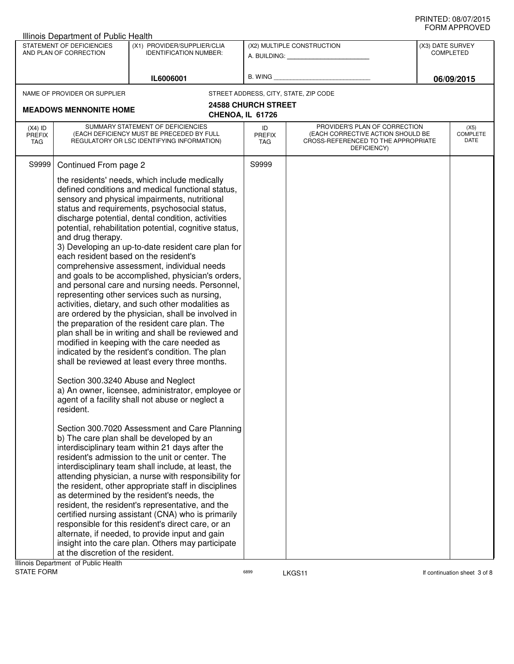|                                   | Illinois Department of Public Health                                                                                                                                                        |                                                                                                                                                                                                                                                                                                                                                                                                                                                                                                                                                                                                                                                                                                                                                                                                                                                                                                                                                                                                                                                                                                                                                                                                                                                                                                                                                                                                                                                                                                                                                                                                                                                                                                                                                                   |                                   |                                                                                                                          |                                      |                                 |  |
|-----------------------------------|---------------------------------------------------------------------------------------------------------------------------------------------------------------------------------------------|-------------------------------------------------------------------------------------------------------------------------------------------------------------------------------------------------------------------------------------------------------------------------------------------------------------------------------------------------------------------------------------------------------------------------------------------------------------------------------------------------------------------------------------------------------------------------------------------------------------------------------------------------------------------------------------------------------------------------------------------------------------------------------------------------------------------------------------------------------------------------------------------------------------------------------------------------------------------------------------------------------------------------------------------------------------------------------------------------------------------------------------------------------------------------------------------------------------------------------------------------------------------------------------------------------------------------------------------------------------------------------------------------------------------------------------------------------------------------------------------------------------------------------------------------------------------------------------------------------------------------------------------------------------------------------------------------------------------------------------------------------------------|-----------------------------------|--------------------------------------------------------------------------------------------------------------------------|--------------------------------------|---------------------------------|--|
|                                   | STATEMENT OF DEFICIENCIES<br>AND PLAN OF CORRECTION                                                                                                                                         | (X1) PROVIDER/SUPPLIER/CLIA<br><b>IDENTIFICATION NUMBER:</b>                                                                                                                                                                                                                                                                                                                                                                                                                                                                                                                                                                                                                                                                                                                                                                                                                                                                                                                                                                                                                                                                                                                                                                                                                                                                                                                                                                                                                                                                                                                                                                                                                                                                                                      |                                   | (X2) MULTIPLE CONSTRUCTION                                                                                               | (X3) DATE SURVEY<br><b>COMPLETED</b> |                                 |  |
|                                   |                                                                                                                                                                                             |                                                                                                                                                                                                                                                                                                                                                                                                                                                                                                                                                                                                                                                                                                                                                                                                                                                                                                                                                                                                                                                                                                                                                                                                                                                                                                                                                                                                                                                                                                                                                                                                                                                                                                                                                                   |                                   | A. BUILDING: A. BUILDING:                                                                                                |                                      |                                 |  |
|                                   |                                                                                                                                                                                             | IL6006001                                                                                                                                                                                                                                                                                                                                                                                                                                                                                                                                                                                                                                                                                                                                                                                                                                                                                                                                                                                                                                                                                                                                                                                                                                                                                                                                                                                                                                                                                                                                                                                                                                                                                                                                                         | B. WING                           |                                                                                                                          | 06/09/2015                           |                                 |  |
|                                   | NAME OF PROVIDER OR SUPPLIER                                                                                                                                                                |                                                                                                                                                                                                                                                                                                                                                                                                                                                                                                                                                                                                                                                                                                                                                                                                                                                                                                                                                                                                                                                                                                                                                                                                                                                                                                                                                                                                                                                                                                                                                                                                                                                                                                                                                                   |                                   | STREET ADDRESS, CITY, STATE, ZIP CODE                                                                                    |                                      |                                 |  |
|                                   |                                                                                                                                                                                             | <b>24588 CHURCH STREET</b>                                                                                                                                                                                                                                                                                                                                                                                                                                                                                                                                                                                                                                                                                                                                                                                                                                                                                                                                                                                                                                                                                                                                                                                                                                                                                                                                                                                                                                                                                                                                                                                                                                                                                                                                        |                                   |                                                                                                                          |                                      |                                 |  |
|                                   | <b>MEADOWS MENNONITE HOME</b>                                                                                                                                                               |                                                                                                                                                                                                                                                                                                                                                                                                                                                                                                                                                                                                                                                                                                                                                                                                                                                                                                                                                                                                                                                                                                                                                                                                                                                                                                                                                                                                                                                                                                                                                                                                                                                                                                                                                                   | CHENOA, IL 61726                  |                                                                                                                          |                                      |                                 |  |
| $(X4)$ ID<br><b>PREFIX</b><br>TAG | SUMMARY STATEMENT OF DEFICIENCIES<br>(EACH DEFICIENCY MUST BE PRECEDED BY FULL<br>REGULATORY OR LSC IDENTIFYING INFORMATION)                                                                |                                                                                                                                                                                                                                                                                                                                                                                                                                                                                                                                                                                                                                                                                                                                                                                                                                                                                                                                                                                                                                                                                                                                                                                                                                                                                                                                                                                                                                                                                                                                                                                                                                                                                                                                                                   | ID<br><b>PREFIX</b><br><b>TAG</b> | PROVIDER'S PLAN OF CORRECTION<br>(EACH CORRECTIVE ACTION SHOULD BE<br>CROSS-REFERENCED TO THE APPROPRIATE<br>DEFICIENCY) |                                      | (X5)<br><b>COMPLETE</b><br>DATE |  |
| S9999                             | Continued From page 2                                                                                                                                                                       |                                                                                                                                                                                                                                                                                                                                                                                                                                                                                                                                                                                                                                                                                                                                                                                                                                                                                                                                                                                                                                                                                                                                                                                                                                                                                                                                                                                                                                                                                                                                                                                                                                                                                                                                                                   | S9999                             |                                                                                                                          |                                      |                                 |  |
|                                   | and drug therapy.<br>each resident based on the resident's<br>Section 300.3240 Abuse and Neglect<br>resident.<br>at the discretion of the resident.<br>Ilinois Department, of Dublin Health | the residents' needs, which include medically<br>defined conditions and medical functional status,<br>sensory and physical impairments, nutritional<br>status and requirements, psychosocial status,<br>discharge potential, dental condition, activities<br>potential, rehabilitation potential, cognitive status,<br>3) Developing an up-to-date resident care plan for<br>comprehensive assessment, individual needs<br>and goals to be accomplished, physician's orders,<br>and personal care and nursing needs. Personnel,<br>representing other services such as nursing,<br>activities, dietary, and such other modalities as<br>are ordered by the physician, shall be involved in<br>the preparation of the resident care plan. The<br>plan shall be in writing and shall be reviewed and<br>modified in keeping with the care needed as<br>indicated by the resident's condition. The plan<br>shall be reviewed at least every three months.<br>a) An owner, licensee, administrator, employee or<br>agent of a facility shall not abuse or neglect a<br>Section 300.7020 Assessment and Care Planning<br>b) The care plan shall be developed by an<br>interdisciplinary team within 21 days after the<br>resident's admission to the unit or center. The<br>interdisciplinary team shall include, at least, the<br>attending physician, a nurse with responsibility for<br>the resident, other appropriate staff in disciplines<br>as determined by the resident's needs, the<br>resident, the resident's representative, and the<br>certified nursing assistant (CNA) who is primarily<br>responsible for this resident's direct care, or an<br>alternate, if needed, to provide input and gain<br>insight into the care plan. Others may participate |                                   |                                                                                                                          |                                      |                                 |  |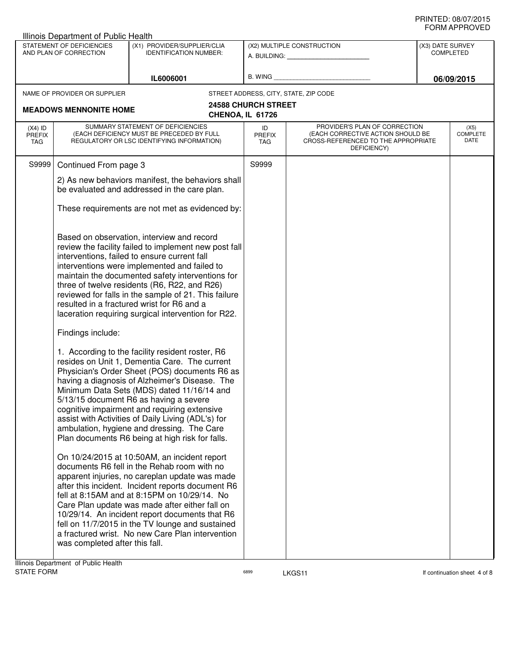| Illinois Department of Public Health |                                                     |                                                                                                                                                                                                                                                                                                                                                                                                                                                                                                                                                                                                                                                                                                                                                                                                                                                                                                                                                                                                                                                                                                                                                                                                                                                                                     |                                                         |                                                                                                                          |                                      |                                 |
|--------------------------------------|-----------------------------------------------------|-------------------------------------------------------------------------------------------------------------------------------------------------------------------------------------------------------------------------------------------------------------------------------------------------------------------------------------------------------------------------------------------------------------------------------------------------------------------------------------------------------------------------------------------------------------------------------------------------------------------------------------------------------------------------------------------------------------------------------------------------------------------------------------------------------------------------------------------------------------------------------------------------------------------------------------------------------------------------------------------------------------------------------------------------------------------------------------------------------------------------------------------------------------------------------------------------------------------------------------------------------------------------------------|---------------------------------------------------------|--------------------------------------------------------------------------------------------------------------------------|--------------------------------------|---------------------------------|
|                                      | STATEMENT OF DEFICIENCIES<br>AND PLAN OF CORRECTION | (X1) PROVIDER/SUPPLIER/CLIA<br><b>IDENTIFICATION NUMBER:</b>                                                                                                                                                                                                                                                                                                                                                                                                                                                                                                                                                                                                                                                                                                                                                                                                                                                                                                                                                                                                                                                                                                                                                                                                                        | (X2) MULTIPLE CONSTRUCTION<br>A. BUILDING: A. BUILDING: |                                                                                                                          | (X3) DATE SURVEY<br><b>COMPLETED</b> |                                 |
|                                      |                                                     | IL6006001                                                                                                                                                                                                                                                                                                                                                                                                                                                                                                                                                                                                                                                                                                                                                                                                                                                                                                                                                                                                                                                                                                                                                                                                                                                                           | B. WING                                                 |                                                                                                                          |                                      | 06/09/2015                      |
|                                      | NAME OF PROVIDER OR SUPPLIER                        |                                                                                                                                                                                                                                                                                                                                                                                                                                                                                                                                                                                                                                                                                                                                                                                                                                                                                                                                                                                                                                                                                                                                                                                                                                                                                     |                                                         | STREET ADDRESS, CITY, STATE, ZIP CODE                                                                                    |                                      |                                 |
|                                      | <b>MEADOWS MENNONITE HOME</b>                       | CHENOA, IL 61726                                                                                                                                                                                                                                                                                                                                                                                                                                                                                                                                                                                                                                                                                                                                                                                                                                                                                                                                                                                                                                                                                                                                                                                                                                                                    | <b>24588 CHURCH STREET</b>                              |                                                                                                                          |                                      |                                 |
| $(X4)$ ID<br><b>PREFIX</b><br>TAG    |                                                     | SUMMARY STATEMENT OF DEFICIENCIES<br>(EACH DEFICIENCY MUST BE PRECEDED BY FULL<br>REGULATORY OR LSC IDENTIFYING INFORMATION)                                                                                                                                                                                                                                                                                                                                                                                                                                                                                                                                                                                                                                                                                                                                                                                                                                                                                                                                                                                                                                                                                                                                                        | ID<br><b>PREFIX</b><br><b>TAG</b>                       | PROVIDER'S PLAN OF CORRECTION<br>(EACH CORRECTIVE ACTION SHOULD BE<br>CROSS-REFERENCED TO THE APPROPRIATE<br>DEFICIENCY) |                                      | (X5)<br><b>COMPLETE</b><br>DATE |
| S9999                                | Continued From page 3                               |                                                                                                                                                                                                                                                                                                                                                                                                                                                                                                                                                                                                                                                                                                                                                                                                                                                                                                                                                                                                                                                                                                                                                                                                                                                                                     | S9999                                                   |                                                                                                                          |                                      |                                 |
|                                      |                                                     | 2) As new behaviors manifest, the behaviors shall<br>be evaluated and addressed in the care plan.                                                                                                                                                                                                                                                                                                                                                                                                                                                                                                                                                                                                                                                                                                                                                                                                                                                                                                                                                                                                                                                                                                                                                                                   |                                                         |                                                                                                                          |                                      |                                 |
|                                      |                                                     | These requirements are not met as evidenced by:                                                                                                                                                                                                                                                                                                                                                                                                                                                                                                                                                                                                                                                                                                                                                                                                                                                                                                                                                                                                                                                                                                                                                                                                                                     |                                                         |                                                                                                                          |                                      |                                 |
|                                      | Findings include:                                   | Based on observation, interview and record<br>review the facility failed to implement new post fall<br>interventions, failed to ensure current fall<br>interventions were implemented and failed to<br>maintain the documented safety interventions for<br>three of twelve residents (R6, R22, and R26)<br>reviewed for falls in the sample of 21. This failure<br>resulted in a fractured wrist for R6 and a<br>laceration requiring surgical intervention for R22.<br>1. According to the facility resident roster, R6<br>resides on Unit 1, Dementia Care. The current<br>Physician's Order Sheet (POS) documents R6 as<br>having a diagnosis of Alzheimer's Disease. The<br>Minimum Data Sets (MDS) dated 11/16/14 and<br>5/13/15 document R6 as having a severe<br>cognitive impairment and requiring extensive<br>assist with Activities of Daily Living (ADL's) for<br>ambulation, hygiene and dressing. The Care<br>Plan documents R6 being at high risk for falls.<br>On 10/24/2015 at 10:50AM, an incident report<br>documents R6 fell in the Rehab room with no<br>apparent injuries, no careplan update was made<br>after this incident. Incident reports document R6<br>fell at 8:15AM and at 8:15PM on 10/29/14. No<br>Care Plan update was made after either fall on |                                                         |                                                                                                                          |                                      |                                 |
|                                      | was completed after this fall.                      | 10/29/14. An incident report documents that R6<br>fell on 11/7/2015 in the TV lounge and sustained<br>a fractured wrist. No new Care Plan intervention                                                                                                                                                                                                                                                                                                                                                                                                                                                                                                                                                                                                                                                                                                                                                                                                                                                                                                                                                                                                                                                                                                                              |                                                         |                                                                                                                          |                                      |                                 |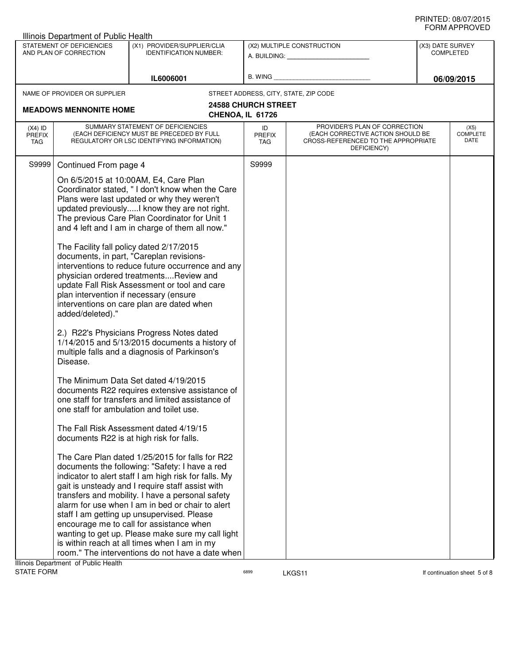| <b>Illinois Department of Public Health</b> |                                                                        |                                                                                                                                                                                                                                                                                                                                                                                                                                                                                                                                                                                                                                                                                                                                                                                                                                                                                                                                                                                                                                                                                                                                                                                                                                                                                                                                                                                                                                                                                                                                                                                                |                                   |                                                                                                                          |                                      |                                 |
|---------------------------------------------|------------------------------------------------------------------------|------------------------------------------------------------------------------------------------------------------------------------------------------------------------------------------------------------------------------------------------------------------------------------------------------------------------------------------------------------------------------------------------------------------------------------------------------------------------------------------------------------------------------------------------------------------------------------------------------------------------------------------------------------------------------------------------------------------------------------------------------------------------------------------------------------------------------------------------------------------------------------------------------------------------------------------------------------------------------------------------------------------------------------------------------------------------------------------------------------------------------------------------------------------------------------------------------------------------------------------------------------------------------------------------------------------------------------------------------------------------------------------------------------------------------------------------------------------------------------------------------------------------------------------------------------------------------------------------|-----------------------------------|--------------------------------------------------------------------------------------------------------------------------|--------------------------------------|---------------------------------|
|                                             | STATEMENT OF DEFICIENCIES<br>AND PLAN OF CORRECTION                    | (X1) PROVIDER/SUPPLIER/CLIA<br><b>IDENTIFICATION NUMBER:</b>                                                                                                                                                                                                                                                                                                                                                                                                                                                                                                                                                                                                                                                                                                                                                                                                                                                                                                                                                                                                                                                                                                                                                                                                                                                                                                                                                                                                                                                                                                                                   |                                   | (X2) MULTIPLE CONSTRUCTION<br>A. BUILDING: A. BUILDING:                                                                  | (X3) DATE SURVEY<br><b>COMPLETED</b> |                                 |
|                                             |                                                                        | IL6006001                                                                                                                                                                                                                                                                                                                                                                                                                                                                                                                                                                                                                                                                                                                                                                                                                                                                                                                                                                                                                                                                                                                                                                                                                                                                                                                                                                                                                                                                                                                                                                                      |                                   | B. WING <b>Example 2008</b>                                                                                              |                                      | 06/09/2015                      |
|                                             | NAME OF PROVIDER OR SUPPLIER                                           |                                                                                                                                                                                                                                                                                                                                                                                                                                                                                                                                                                                                                                                                                                                                                                                                                                                                                                                                                                                                                                                                                                                                                                                                                                                                                                                                                                                                                                                                                                                                                                                                |                                   | STREET ADDRESS, CITY, STATE, ZIP CODE                                                                                    |                                      |                                 |
|                                             | <b>MEADOWS MENNONITE HOME</b>                                          | CHENOA, IL 61726                                                                                                                                                                                                                                                                                                                                                                                                                                                                                                                                                                                                                                                                                                                                                                                                                                                                                                                                                                                                                                                                                                                                                                                                                                                                                                                                                                                                                                                                                                                                                                               | <b>24588 CHURCH STREET</b>        |                                                                                                                          |                                      |                                 |
| $(X4)$ ID<br><b>PREFIX</b><br>TAG           |                                                                        | SUMMARY STATEMENT OF DEFICIENCIES<br>(EACH DEFICIENCY MUST BE PRECEDED BY FULL<br>REGULATORY OR LSC IDENTIFYING INFORMATION)                                                                                                                                                                                                                                                                                                                                                                                                                                                                                                                                                                                                                                                                                                                                                                                                                                                                                                                                                                                                                                                                                                                                                                                                                                                                                                                                                                                                                                                                   | ID<br><b>PREFIX</b><br><b>TAG</b> | PROVIDER'S PLAN OF CORRECTION<br>(EACH CORRECTIVE ACTION SHOULD BE<br>CROSS-REFERENCED TO THE APPROPRIATE<br>DEFICIENCY) |                                      | (X5)<br><b>COMPLETE</b><br>DATE |
| S9999                                       | Continued From page 4                                                  |                                                                                                                                                                                                                                                                                                                                                                                                                                                                                                                                                                                                                                                                                                                                                                                                                                                                                                                                                                                                                                                                                                                                                                                                                                                                                                                                                                                                                                                                                                                                                                                                | S9999                             |                                                                                                                          |                                      |                                 |
|                                             | plan intervention if necessary (ensure<br>added/deleted)."<br>Disease. | On 6/5/2015 at 10:00AM, E4, Care Plan<br>Coordinator stated, " I don't know when the Care<br>Plans were last updated or why they weren't<br>updated previouslyI know they are not right.<br>The previous Care Plan Coordinator for Unit 1<br>and 4 left and I am in charge of them all now."<br>The Facility fall policy dated 2/17/2015<br>documents, in part, "Careplan revisions-<br>interventions to reduce future occurrence and any<br>physician ordered treatmentsReview and<br>update Fall Risk Assessment or tool and care<br>interventions on care plan are dated when<br>2.) R22's Physicians Progress Notes dated<br>1/14/2015 and 5/13/2015 documents a history of<br>multiple falls and a diagnosis of Parkinson's<br>The Minimum Data Set dated 4/19/2015<br>documents R22 requires extensive assistance of<br>one staff for transfers and limited assistance of<br>one staff for ambulation and toilet use.<br>The Fall Risk Assessment dated 4/19/15<br>documents R22 is at high risk for falls.<br>The Care Plan dated 1/25/2015 for falls for R22<br>documents the following: "Safety: I have a red<br>indicator to alert staff I am high risk for falls. My<br>gait is unsteady and I require staff assist with<br>transfers and mobility. I have a personal safety<br>alarm for use when I am in bed or chair to alert<br>staff I am getting up unsupervised. Please<br>encourage me to call for assistance when<br>wanting to get up. Please make sure my call light<br>is within reach at all times when I am in my<br>room." The interventions do not have a date when |                                   |                                                                                                                          |                                      |                                 |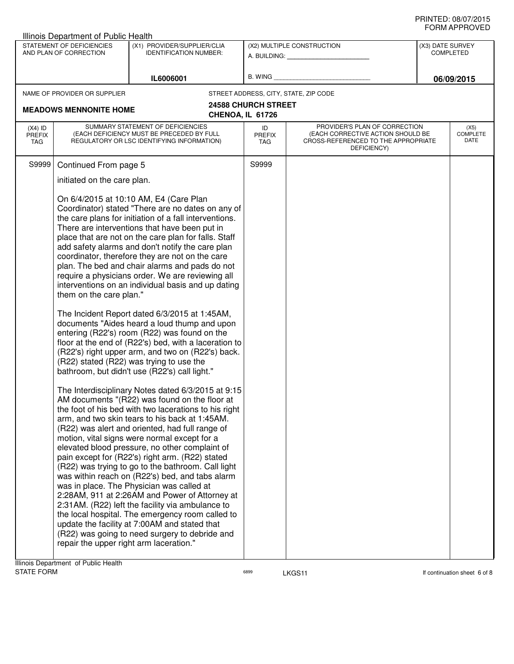|                                   | Illinois Department of Public Health                               |                                                                                                                                                                                                                                                                                                                                                                                                                                                                                                                                                                                                                                                                                                                                                                                                                                                                                                                                                                                                                                                                                                                                                                                                                                                                                                                                                                                                                                                                                                                                                                                                                                                                                                                                             |                                   |                                                                                                                          |                                      |                                 |
|-----------------------------------|--------------------------------------------------------------------|---------------------------------------------------------------------------------------------------------------------------------------------------------------------------------------------------------------------------------------------------------------------------------------------------------------------------------------------------------------------------------------------------------------------------------------------------------------------------------------------------------------------------------------------------------------------------------------------------------------------------------------------------------------------------------------------------------------------------------------------------------------------------------------------------------------------------------------------------------------------------------------------------------------------------------------------------------------------------------------------------------------------------------------------------------------------------------------------------------------------------------------------------------------------------------------------------------------------------------------------------------------------------------------------------------------------------------------------------------------------------------------------------------------------------------------------------------------------------------------------------------------------------------------------------------------------------------------------------------------------------------------------------------------------------------------------------------------------------------------------|-----------------------------------|--------------------------------------------------------------------------------------------------------------------------|--------------------------------------|---------------------------------|
|                                   | STATEMENT OF DEFICIENCIES<br>AND PLAN OF CORRECTION                | (X1) PROVIDER/SUPPLIER/CLIA<br><b>IDENTIFICATION NUMBER:</b>                                                                                                                                                                                                                                                                                                                                                                                                                                                                                                                                                                                                                                                                                                                                                                                                                                                                                                                                                                                                                                                                                                                                                                                                                                                                                                                                                                                                                                                                                                                                                                                                                                                                                |                                   | (X2) MULTIPLE CONSTRUCTION<br>A. BUILDING: A. BUILDING:                                                                  | (X3) DATE SURVEY<br><b>COMPLETED</b> |                                 |
|                                   |                                                                    |                                                                                                                                                                                                                                                                                                                                                                                                                                                                                                                                                                                                                                                                                                                                                                                                                                                                                                                                                                                                                                                                                                                                                                                                                                                                                                                                                                                                                                                                                                                                                                                                                                                                                                                                             |                                   |                                                                                                                          |                                      |                                 |
|                                   |                                                                    | IL6006001                                                                                                                                                                                                                                                                                                                                                                                                                                                                                                                                                                                                                                                                                                                                                                                                                                                                                                                                                                                                                                                                                                                                                                                                                                                                                                                                                                                                                                                                                                                                                                                                                                                                                                                                   | B. WING                           |                                                                                                                          |                                      | 06/09/2015                      |
|                                   | NAME OF PROVIDER OR SUPPLIER                                       |                                                                                                                                                                                                                                                                                                                                                                                                                                                                                                                                                                                                                                                                                                                                                                                                                                                                                                                                                                                                                                                                                                                                                                                                                                                                                                                                                                                                                                                                                                                                                                                                                                                                                                                                             |                                   | STREET ADDRESS, CITY, STATE, ZIP CODE                                                                                    |                                      |                                 |
|                                   | <b>MEADOWS MENNONITE HOME</b>                                      | CHENOA, IL 61726                                                                                                                                                                                                                                                                                                                                                                                                                                                                                                                                                                                                                                                                                                                                                                                                                                                                                                                                                                                                                                                                                                                                                                                                                                                                                                                                                                                                                                                                                                                                                                                                                                                                                                                            | <b>24588 CHURCH STREET</b>        |                                                                                                                          |                                      |                                 |
| $(X4)$ ID<br><b>PREFIX</b><br>TAG |                                                                    | SUMMARY STATEMENT OF DEFICIENCIES<br>(EACH DEFICIENCY MUST BE PRECEDED BY FULL<br>REGULATORY OR LSC IDENTIFYING INFORMATION)                                                                                                                                                                                                                                                                                                                                                                                                                                                                                                                                                                                                                                                                                                                                                                                                                                                                                                                                                                                                                                                                                                                                                                                                                                                                                                                                                                                                                                                                                                                                                                                                                | ID<br><b>PREFIX</b><br><b>TAG</b> | PROVIDER'S PLAN OF CORRECTION<br>(EACH CORRECTIVE ACTION SHOULD BE<br>CROSS-REFERENCED TO THE APPROPRIATE<br>DEFICIENCY) |                                      | (X5)<br><b>COMPLETE</b><br>DATE |
| S9999                             | Continued From page 5                                              |                                                                                                                                                                                                                                                                                                                                                                                                                                                                                                                                                                                                                                                                                                                                                                                                                                                                                                                                                                                                                                                                                                                                                                                                                                                                                                                                                                                                                                                                                                                                                                                                                                                                                                                                             | S9999                             |                                                                                                                          |                                      |                                 |
|                                   | initiated on the care plan.                                        |                                                                                                                                                                                                                                                                                                                                                                                                                                                                                                                                                                                                                                                                                                                                                                                                                                                                                                                                                                                                                                                                                                                                                                                                                                                                                                                                                                                                                                                                                                                                                                                                                                                                                                                                             |                                   |                                                                                                                          |                                      |                                 |
|                                   | them on the care plan."<br>repair the upper right arm laceration." | On 6/4/2015 at 10:10 AM, E4 (Care Plan<br>Coordinator) stated "There are no dates on any of<br>the care plans for initiation of a fall interventions.<br>There are interventions that have been put in<br>place that are not on the care plan for falls. Staff<br>add safety alarms and don't notify the care plan<br>coordinator, therefore they are not on the care<br>plan. The bed and chair alarms and pads do not<br>require a physicians order. We are reviewing all<br>interventions on an individual basis and up dating<br>The Incident Report dated 6/3/2015 at 1:45AM,<br>documents "Aides heard a loud thump and upon<br>entering (R22's) room (R22) was found on the<br>floor at the end of (R22's) bed, with a laceration to<br>(R22's) right upper arm, and two on (R22's) back.<br>(R22) stated (R22) was trying to use the<br>bathroom, but didn't use (R22's) call light."<br>The Interdisciplinary Notes dated 6/3/2015 at 9:15<br>AM documents "(R22) was found on the floor at<br>the foot of his bed with two lacerations to his right<br>arm, and two skin tears to his back at 1:45AM.<br>(R22) was alert and oriented, had full range of<br>motion, vital signs were normal except for a<br>elevated blood pressure, no other complaint of<br>pain except for (R22's) right arm. (R22) stated<br>(R22) was trying to go to the bathroom. Call light<br>was within reach on (R22's) bed, and tabs alarm<br>was in place. The Physician was called at<br>2:28AM, 911 at 2:26AM and Power of Attorney at<br>2:31 AM. (R22) left the facility via ambulance to<br>the local hospital. The emergency room called to<br>update the facility at 7:00AM and stated that<br>(R22) was going to need surgery to debride and |                                   |                                                                                                                          |                                      |                                 |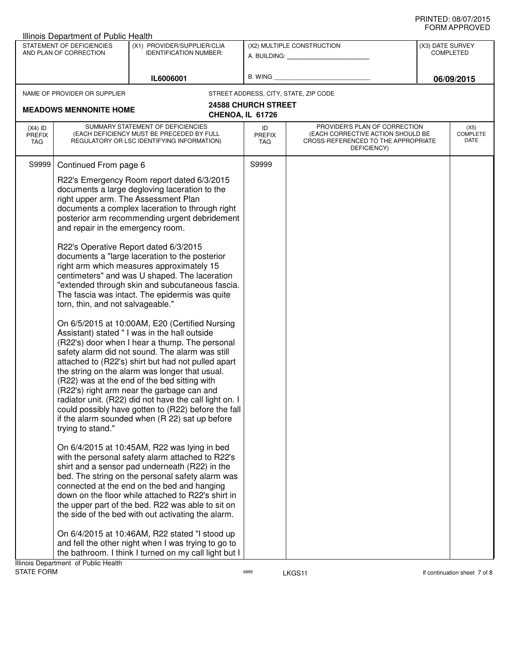|                                          | Illinois Department of Public Health                                                        |                                                                                                                                                                                                                                                                                                                                                                                                                                                                                                                                                                                                                                                                                                                                                                                                                                                                                                                                                                                                                                                                                                                                                                                                                                                                                                                                                                                                                                                                                                                                                                                                                                                           |                            |                                                                                                                                              |                  | <b>JI UVI AI I I IV</b> V L D   |
|------------------------------------------|---------------------------------------------------------------------------------------------|-----------------------------------------------------------------------------------------------------------------------------------------------------------------------------------------------------------------------------------------------------------------------------------------------------------------------------------------------------------------------------------------------------------------------------------------------------------------------------------------------------------------------------------------------------------------------------------------------------------------------------------------------------------------------------------------------------------------------------------------------------------------------------------------------------------------------------------------------------------------------------------------------------------------------------------------------------------------------------------------------------------------------------------------------------------------------------------------------------------------------------------------------------------------------------------------------------------------------------------------------------------------------------------------------------------------------------------------------------------------------------------------------------------------------------------------------------------------------------------------------------------------------------------------------------------------------------------------------------------------------------------------------------------|----------------------------|----------------------------------------------------------------------------------------------------------------------------------------------|------------------|---------------------------------|
|                                          | STATEMENT OF DEFICIENCIES<br>AND PLAN OF CORRECTION                                         | (X1) PROVIDER/SUPPLIER/CLIA<br><b>IDENTIFICATION NUMBER:</b>                                                                                                                                                                                                                                                                                                                                                                                                                                                                                                                                                                                                                                                                                                                                                                                                                                                                                                                                                                                                                                                                                                                                                                                                                                                                                                                                                                                                                                                                                                                                                                                              |                            | (X2) MULTIPLE CONSTRUCTION<br>A. BUILDING: A SALE AND THE SALE AND THE SALE AND THE SALE AND THE SALE AND THE SALE AND THE SALE AND THE SALE | (X3) DATE SURVEY | <b>COMPLETED</b>                |
|                                          |                                                                                             |                                                                                                                                                                                                                                                                                                                                                                                                                                                                                                                                                                                                                                                                                                                                                                                                                                                                                                                                                                                                                                                                                                                                                                                                                                                                                                                                                                                                                                                                                                                                                                                                                                                           |                            |                                                                                                                                              |                  |                                 |
|                                          |                                                                                             | IL6006001                                                                                                                                                                                                                                                                                                                                                                                                                                                                                                                                                                                                                                                                                                                                                                                                                                                                                                                                                                                                                                                                                                                                                                                                                                                                                                                                                                                                                                                                                                                                                                                                                                                 |                            | B. WING <b>Example 2008</b>                                                                                                                  |                  | 06/09/2015                      |
|                                          | NAME OF PROVIDER OR SUPPLIER                                                                |                                                                                                                                                                                                                                                                                                                                                                                                                                                                                                                                                                                                                                                                                                                                                                                                                                                                                                                                                                                                                                                                                                                                                                                                                                                                                                                                                                                                                                                                                                                                                                                                                                                           |                            | STREET ADDRESS, CITY, STATE, ZIP CODE                                                                                                        |                  |                                 |
|                                          | <b>MEADOWS MENNONITE HOME</b>                                                               |                                                                                                                                                                                                                                                                                                                                                                                                                                                                                                                                                                                                                                                                                                                                                                                                                                                                                                                                                                                                                                                                                                                                                                                                                                                                                                                                                                                                                                                                                                                                                                                                                                                           | <b>24588 CHURCH STREET</b> |                                                                                                                                              |                  |                                 |
|                                          |                                                                                             |                                                                                                                                                                                                                                                                                                                                                                                                                                                                                                                                                                                                                                                                                                                                                                                                                                                                                                                                                                                                                                                                                                                                                                                                                                                                                                                                                                                                                                                                                                                                                                                                                                                           | CHENOA, IL 61726           |                                                                                                                                              |                  |                                 |
| $(X4)$ ID<br><b>PREFIX</b><br><b>TAG</b> |                                                                                             | SUMMARY STATEMENT OF DEFICIENCIES<br>(EACH DEFICIENCY MUST BE PRECEDED BY FULL<br>REGULATORY OR LSC IDENTIFYING INFORMATION)                                                                                                                                                                                                                                                                                                                                                                                                                                                                                                                                                                                                                                                                                                                                                                                                                                                                                                                                                                                                                                                                                                                                                                                                                                                                                                                                                                                                                                                                                                                              | ID<br><b>PREFIX</b><br>TAG | PROVIDER'S PLAN OF CORRECTION<br>(EACH CORRECTIVE ACTION SHOULD BE<br>CROSS-REFERENCED TO THE APPROPRIATE<br>DEFICIENCY)                     |                  | (X5)<br><b>COMPLETE</b><br>DATE |
| S9999                                    | Continued From page 6                                                                       |                                                                                                                                                                                                                                                                                                                                                                                                                                                                                                                                                                                                                                                                                                                                                                                                                                                                                                                                                                                                                                                                                                                                                                                                                                                                                                                                                                                                                                                                                                                                                                                                                                                           | S9999                      |                                                                                                                                              |                  |                                 |
|                                          | and repair in the emergency room.<br>torn, thin, and not salvageable."<br>trying to stand." | R22's Emergency Room report dated 6/3/2015<br>documents a large degloving laceration to the<br>right upper arm. The Assessment Plan<br>documents a complex laceration to through right<br>posterior arm recommending urgent debridement<br>R22's Operative Report dated 6/3/2015<br>documents a "large laceration to the posterior<br>right arm which measures approximately 15<br>centimeters" and was U shaped. The laceration<br>"extended through skin and subcutaneous fascia.<br>The fascia was intact. The epidermis was quite<br>On 6/5/2015 at 10:00AM, E20 (Certified Nursing<br>Assistant) stated " I was in the hall outside<br>(R22's) door when I hear a thump. The personal<br>safety alarm did not sound. The alarm was still<br>attached to (R22's) shirt but had not pulled apart<br>the string on the alarm was longer that usual.<br>(R22) was at the end of the bed sitting with<br>(R22's) right arm near the garbage can and<br>radiator unit. (R22) did not have the call light on. I<br>could possibly have gotten to (R22) before the fall<br>if the alarm sounded when (R 22) sat up before<br>On 6/4/2015 at 10:45AM, R22 was lying in bed<br>with the personal safety alarm attached to R22's<br>shirt and a sensor pad underneath (R22) in the<br>bed. The string on the personal safety alarm was<br>connected at the end on the bed and hanging<br>down on the floor while attached to R22's shirt in<br>the upper part of the bed. R22 was able to sit on<br>the side of the bed with out activating the alarm.<br>On 6/4/2015 at 10:46AM, R22 stated "I stood up<br>and fell the other night when I was trying to go to |                            |                                                                                                                                              |                  |                                 |
|                                          | Illinois Department of Public Health                                                        | the bathroom. I think I turned on my call light but I                                                                                                                                                                                                                                                                                                                                                                                                                                                                                                                                                                                                                                                                                                                                                                                                                                                                                                                                                                                                                                                                                                                                                                                                                                                                                                                                                                                                                                                                                                                                                                                                     |                            |                                                                                                                                              |                  |                                 |